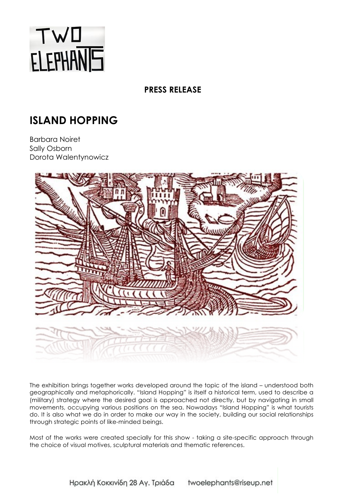

**PRESS RELEASE**

## **ISLAND HOPPING**

Barbara Noiret Sally Osborn Dorota Walentynowicz



The exhibition brings together works developed around the topic of the island – understood both geographically and metaphorically. "Island Hopping" is itself a historical term, used to describe a (military) strategy where the desired goal is approached not directly, but by navigating in small movements, occupying various positions on the sea. Nowadays "Island Hopping" is what tourists do. It is also what we do in order to make our way in the society, building our social relationships through strategic points of like-minded beings.

Most of the works were created specially for this show - taking a site-specific approach through the choice of visual motives, sculptural materials and thematic references.